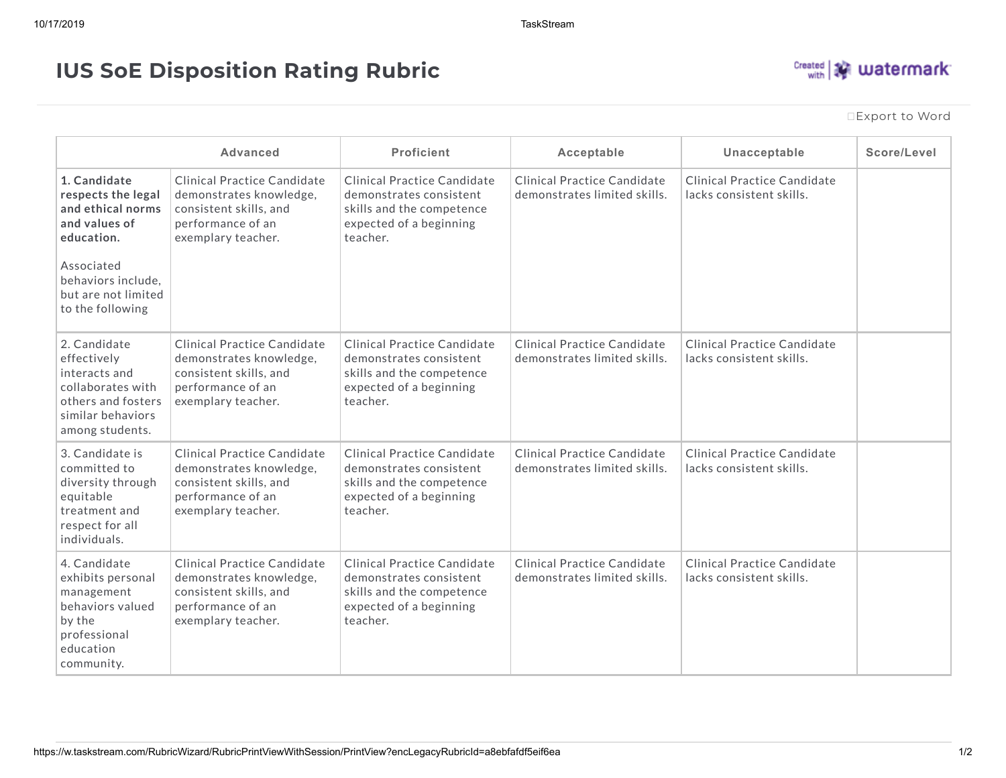## **IUS SoE Disposition Rating Rubric**



[Export](https://w.taskstream.com/RubricWizard/RubricPrintViewWithSession/PrintView?encLegacyRubricId=a8ebfafdf5eif6ea&mode=Default&isFakePrint=False&isAnon=False&downloadType=Word) to Word

|                                                                                                                                                                       | <b>Advanced</b>                                                                                                             | <b>Proficient</b>                                                                                                                 | Acceptable                                                  | Unacceptable                                            | Score/Level |
|-----------------------------------------------------------------------------------------------------------------------------------------------------------------------|-----------------------------------------------------------------------------------------------------------------------------|-----------------------------------------------------------------------------------------------------------------------------------|-------------------------------------------------------------|---------------------------------------------------------|-------------|
| 1. Candidate<br>respects the legal<br>and ethical norms<br>and values of<br>education.<br>Associated<br>behaviors include,<br>but are not limited<br>to the following | Clinical Practice Candidate<br>demonstrates knowledge,<br>consistent skills, and<br>performance of an<br>exemplary teacher. | Clinical Practice Candidate<br>demonstrates consistent<br>skills and the competence<br>expected of a beginning<br>teacher.        | Clinical Practice Candidate<br>demonstrates limited skills. | Clinical Practice Candidate<br>lacks consistent skills. |             |
| 2. Candidate<br>effectively<br>interacts and<br>collaborates with<br>others and fosters<br>similar behaviors<br>among students.                                       | Clinical Practice Candidate<br>demonstrates knowledge,<br>consistent skills, and<br>performance of an<br>exemplary teacher. | <b>Clinical Practice Candidate</b><br>demonstrates consistent<br>skills and the competence<br>expected of a beginning<br>teacher. | Clinical Practice Candidate<br>demonstrates limited skills. | Clinical Practice Candidate<br>lacks consistent skills. |             |
| 3. Candidate is<br>committed to<br>diversity through<br>equitable<br>treatment and<br>respect for all<br>individuals.                                                 | Clinical Practice Candidate<br>demonstrates knowledge,<br>consistent skills, and<br>performance of an<br>exemplary teacher. | Clinical Practice Candidate<br>demonstrates consistent<br>skills and the competence<br>expected of a beginning<br>teacher.        | Clinical Practice Candidate<br>demonstrates limited skills. | Clinical Practice Candidate<br>lacks consistent skills. |             |
| 4. Candidate<br>exhibits personal<br>management<br>behaviors valued<br>by the<br>professional<br>education<br>community.                                              | Clinical Practice Candidate<br>demonstrates knowledge,<br>consistent skills, and<br>performance of an<br>exemplary teacher. | Clinical Practice Candidate<br>demonstrates consistent<br>skills and the competence<br>expected of a beginning<br>teacher.        | Clinical Practice Candidate<br>demonstrates limited skills. | Clinical Practice Candidate<br>lacks consistent skills. |             |